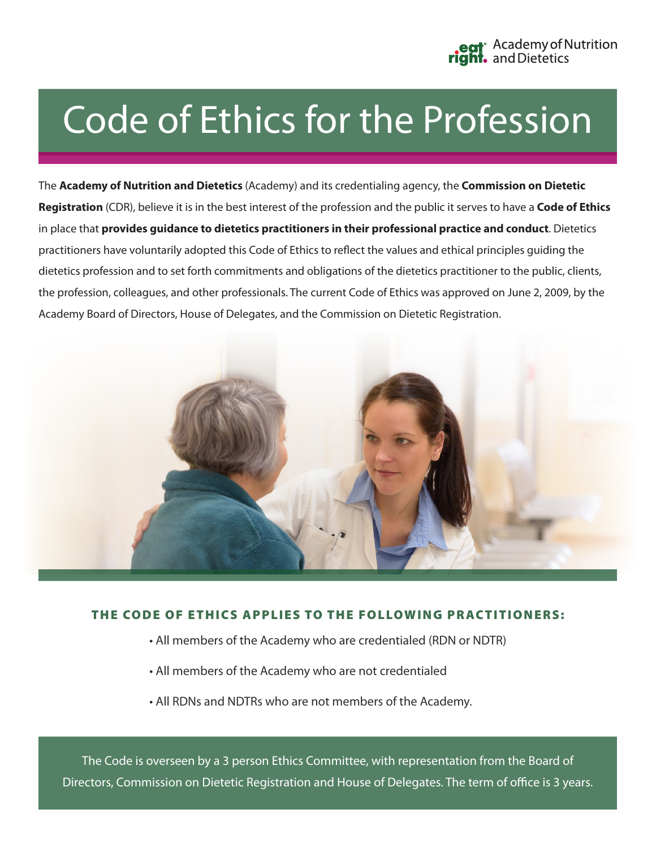# Code of Ethics for the Profession

The **Academy of Nutrition and Dietetics** (Academy) and its credentialing agency, the **Commission on Dietetic Registration** (CDR), believe it is in the best interest of the profession and the public it serves to have a **Code of Ethics** in place that **provides guidance to dietetics practitioners in their professional practice and conduct**. Dietetics practitioners have voluntarily adopted this Code of Ethics to reflect the values and ethical principles guiding the dietetics profession and to set forth commitments and obligations of the dietetics practitioner to the public, clients, the profession, colleagues, and other professionals. The current Code of Ethics was approved on June 2, 2009, by the Academy Board of Directors, House of Delegates, and the Commission on Dietetic Registration.



#### THE CODE OF ETHICS APPLIES TO THE FOLLOWING PRACTITIONERS:

- All members of the Academy who are credentialed (RDN or NDTR)
- All members of the Academy who are not credentialed
- All RDNs and NDTRs who are not members of the Academy.

The Code is overseen by a 3 person Ethics Committee, with representation from the Board of Directors, Commission on Dietetic Registration and House of Delegates. The term of office is 3 years.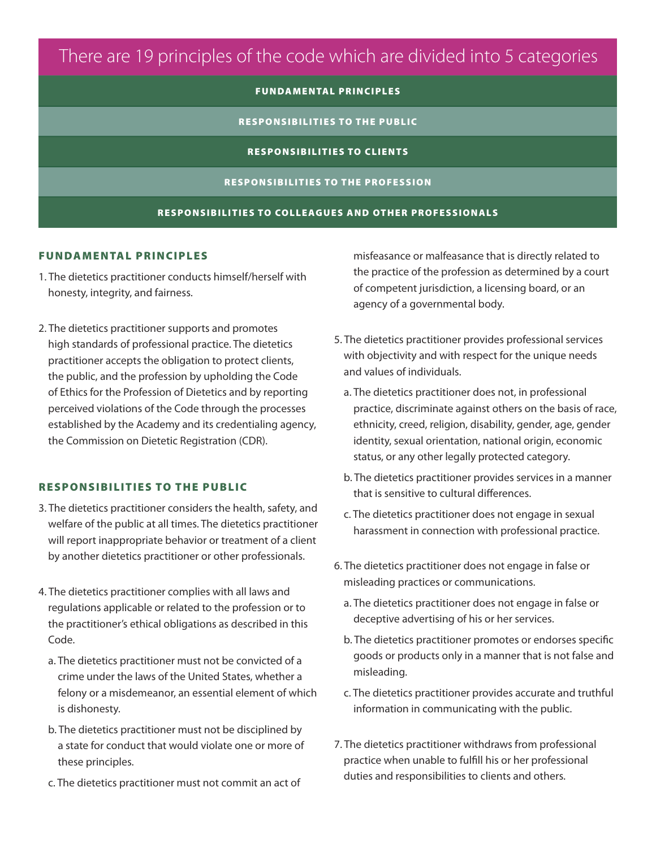## There are 19 principles of the code which are divided into 5 categories

FUNDAMENTAL PRINCIPLES

RESPONSIBILITIES TO THE PUBLIC

RESPONSIBILITIES TO CLIENTS

RESPONSIBILITIES TO THE PROFESSION

RESPONSIBILITIES TO COLLEAGUES AND OTHER PROFESSIONALS

#### FUNDAMENTAL PRINCIPLES

- 1. The dietetics practitioner conducts himself/herself with honesty, integrity, and fairness.
- 2. The dietetics practitioner supports and promotes high standards of professional practice. The dietetics practitioner accepts the obligation to protect clients, the public, and the profession by upholding the Code of Ethics for the Profession of Dietetics and by reporting perceived violations of the Code through the processes established by the Academy and its credentialing agency, the Commission on Dietetic Registration (CDR).

#### RESPONSIBILITIES TO THE PUBLIC

- 3. The dietetics practitioner considers the health, safety, and welfare of the public at all times. The dietetics practitioner will report inappropriate behavior or treatment of a client by another dietetics practitioner or other professionals.
- 4. The dietetics practitioner complies with all laws and regulations applicable or related to the profession or to the practitioner's ethical obligations as described in this Code.
	- a. The dietetics practitioner must not be convicted of a crime under the laws of the United States, whether a felony or a misdemeanor, an essential element of which is dishonesty.
	- b. The dietetics practitioner must not be disciplined by a state for conduct that would violate one or more of these principles.
	- c. The dietetics practitioner must not commit an act of

misfeasance or malfeasance that is directly related to the practice of the profession as determined by a court of competent jurisdiction, a licensing board, or an agency of a governmental body.

- 5. The dietetics practitioner provides professional services with objectivity and with respect for the unique needs and values of individuals.
	- a. The dietetics practitioner does not, in professional practice, discriminate against others on the basis of race, ethnicity, creed, religion, disability, gender, age, gender identity, sexual orientation, national origin, economic status, or any other legally protected category.
	- b. The dietetics practitioner provides services in a manner that is sensitive to cultural differences.
	- c. The dietetics practitioner does not engage in sexual harassment in connection with professional practice.
- 6. The dietetics practitioner does not engage in false or misleading practices or communications.
	- a. The dietetics practitioner does not engage in false or deceptive advertising of his or her services.
	- b. The dietetics practitioner promotes or endorses specific goods or products only in a manner that is not false and misleading.
	- c. The dietetics practitioner provides accurate and truthful information in communicating with the public.
- 7. The dietetics practitioner withdraws from professional practice when unable to fulfill his or her professional duties and responsibilities to clients and others.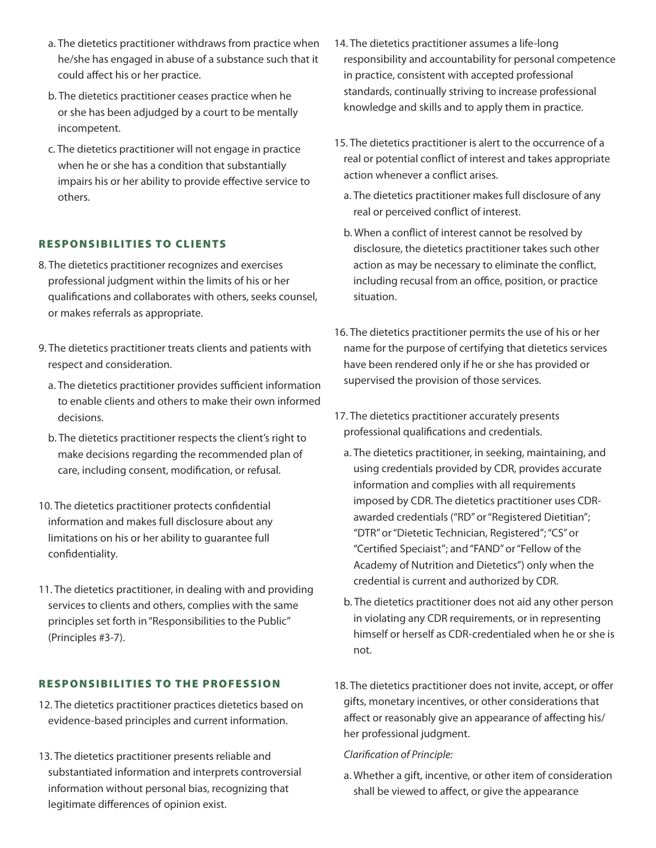- a. The dietetics practitioner withdraws from practice when he/she has engaged in abuse of a substance such that it could affect his or her practice.
- b. The dietetics practitioner ceases practice when he or she has been adjudged by a court to be mentally incompetent.
- c. The dietetics practitioner will not engage in practice when he or she has a condition that substantially impairs his or her ability to provide effective service to others.

#### RESPONSIBILITIES TO CLIENTS

- 8. The dietetics practitioner recognizes and exercises professional judgment within the limits of his or her qualifications and collaborates with others, seeks counsel, or makes referrals as appropriate.
- 9. The dietetics practitioner treats clients and patients with respect and consideration.
	- a. The dietetics practitioner provides sufficient information to enable clients and others to make their own informed decisions.
	- b. The dietetics practitioner respects the client's right to make decisions regarding the recommended plan of care, including consent, modification, or refusal.
- 10. The dietetics practitioner protects confidential information and makes full disclosure about any limitations on his or her ability to guarantee full confidentiality.
- 11. The dietetics practitioner, in dealing with and providing services to clients and others, complies with the same principles set forth in "Responsibilities to the Public" (Principles #3-7).

#### RESPONSIBILITIES TO THE PROFESSION

- 12. The dietetics practitioner practices dietetics based on evidence-based principles and current information.
- 13. The dietetics practitioner presents reliable and substantiated information and interprets controversial information without personal bias, recognizing that legitimate differences of opinion exist.
- 14. The dietetics practitioner assumes a life-long responsibility and accountability for personal competence in practice, consistent with accepted professional standards, continually striving to increase professional knowledge and skills and to apply them in practice.
- 15. The dietetics practitioner is alert to the occurrence of a real or potential conflict of interest and takes appropriate action whenever a conflict arises.
	- a. The dietetics practitioner makes full disclosure of any real or perceived conflict of interest.
	- b. When a conflict of interest cannot be resolved by disclosure, the dietetics practitioner takes such other action as may be necessary to eliminate the conflict, including recusal from an office, position, or practice situation.
- 16. The dietetics practitioner permits the use of his or her name for the purpose of certifying that dietetics services have been rendered only if he or she has provided or supervised the provision of those services.
- 17. The dietetics practitioner accurately presents professional qualifications and credentials.
	- a. The dietetics practitioner, in seeking, maintaining, and using credentials provided by CDR, provides accurate information and complies with all requirements imposed by CDR. The dietetics practitioner uses CDRawarded credentials ("RD" or "Registered Dietitian"; "DTR" or "Dietetic Technician, Registered"; "CS" or "Certified Speciaist"; and "FAND" or "Fellow of the Academy of Nutrition and Dietetics") only when the credential is current and authorized by CDR.
	- b. The dietetics practitioner does not aid any other person in violating any CDR requirements, or in representing himself or herself as CDR-credentialed when he or she is not.
- 18. The dietetics practitioner does not invite, accept, or offer gifts, monetary incentives, or other considerations that affect or reasonably give an appearance of affecting his/ her professional judgment.

#### *Clarification of Principle:*

a. Whether a gift, incentive, or other item of consideration shall be viewed to affect, or give the appearance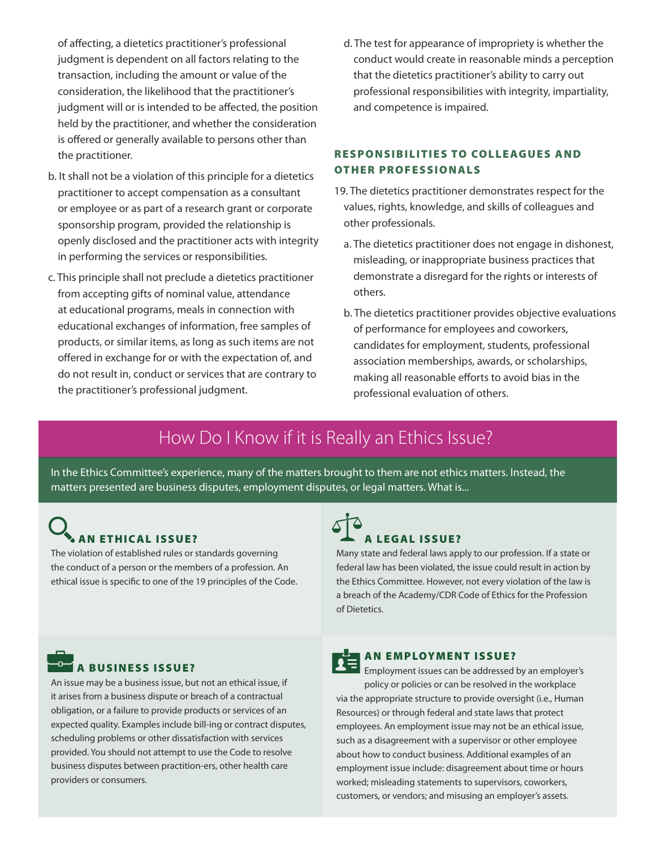of affecting, a dietetics practitioner's professional judgment is dependent on all factors relating to the transaction, including the amount or value of the consideration, the likelihood that the practitioner's judgment will or is intended to be affected, the position held by the practitioner, and whether the consideration is offered or generally available to persons other than the practitioner.

- b. It shall not be a violation of this principle for a dietetics practitioner to accept compensation as a consultant or employee or as part of a research grant or corporate sponsorship program, provided the relationship is openly disclosed and the practitioner acts with integrity in performing the services or responsibilities.
- c. This principle shall not preclude a dietetics practitioner from accepting gifts of nominal value, attendance at educational programs, meals in connection with educational exchanges of information, free samples of products, or similar items, as long as such items are not offered in exchange for or with the expectation of, and do not result in, conduct or services that are contrary to the practitioner's professional judgment.

d. The test for appearance of impropriety is whether the conduct would create in reasonable minds a perception that the dietetics practitioner's ability to carry out professional responsibilities with integrity, impartiality, and competence is impaired.

#### RESPONSIBILITIES TO COLLEAGUES AND OTHER PROFESSIONALS

- 19. The dietetics practitioner demonstrates respect for the values, rights, knowledge, and skills of colleagues and other professionals.
	- a. The dietetics practitioner does not engage in dishonest, misleading, or inappropriate business practices that demonstrate a disregard for the rights or interests of others.
	- b. The dietetics practitioner provides objective evaluations of performance for employees and coworkers, candidates for employment, students, professional association memberships, awards, or scholarships, making all reasonable efforts to avoid bias in the professional evaluation of others.

## How Do I Know if it is Really an Ethics Issue?

In the Ethics Committee's experience, many of the matters brought to them are not ethics matters. Instead, the matters presented are business disputes, employment disputes, or legal matters. What is...

## **AN ETHICAL ISSUE?**

The violation of established rules or standards governing the conduct of a person or the members of a profession. An ethical issue is specific to one of the 19 principles of the Code.

# A LEGAL ISSUE?

Many state and federal laws apply to our profession. If a state or federal law has been violated, the issue could result in action by the Ethics Committee. However, not every violation of the law is a breach of the Academy/CDR Code of Ethics for the Profession of Dietetics.



#### A BUSINESS ISSUE?

An issue may be a business issue, but not an ethical issue, if it arises from a business dispute or breach of a contractual obligation, or a failure to provide products or services of an expected quality. Examples include bill-ing or contract disputes, scheduling problems or other dissatisfaction with services provided. You should not attempt to use the Code to resolve business disputes between practition-ers, other health care providers or consumers.

#### AN EMPLOYMENT ISSUE?

Employment issues can be addressed by an employer's policy or policies or can be resolved in the workplace via the appropriate structure to provide oversight (i.e., Human Resources) or through federal and state laws that protect employees. An employment issue may not be an ethical issue, such as a disagreement with a supervisor or other employee about how to conduct business. Additional examples of an employment issue include: disagreement about time or hours worked; misleading statements to supervisors, coworkers, customers, or vendors; and misusing an employer's assets.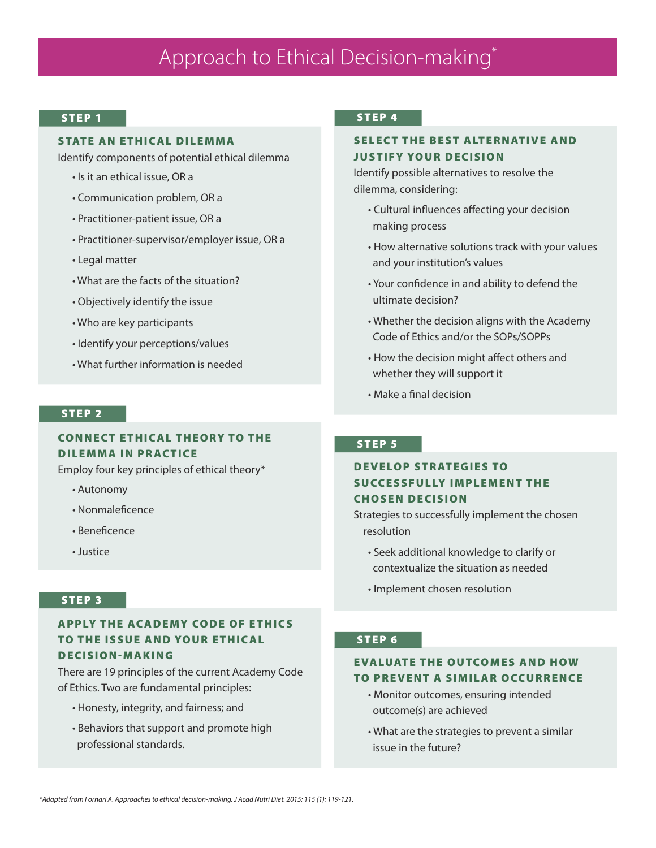## Approach to Ethical Decision-making\*

#### STEP 1 STEP 4

#### STATE AN ETHICAL DILEMMA

Identify components of potential ethical dilemma

- Is it an ethical issue, OR a
- Communication problem, OR a
- Practitioner-patient issue, OR a
- Practitioner-supervisor/employer issue, OR a
- Legal matter
- What are the facts of the situation?
- Objectively identify the issue
- Who are key participants
- Identify your perceptions/values
- What further information is needed

#### STEP<sub>2</sub>

#### **CONNECT ETHICAL THEORY TO THE** DILEMMA IN PRACTICE

Employ four key principles of ethical theory\*

- Autonomy
- Nonmaleficence
- Beneficence
- Justice

#### STEP<sub>3</sub>

#### APPLY THE ACADEMY CODE OF ETHICS TO THE ISSUE AND YOUR ETHICAL DECISION-MAKING

There are 19 principles of the current Academy Code of Ethics. Two are fundamental principles:

- Honesty, integrity, and fairness; and
- Behaviors that support and promote high professional standards.

#### **SELECT THE BEST ALTERNATIVE AND** JUSTIFY YOUR DECISION

Identify possible alternatives to resolve the dilemma, considering:

- Cultural influences affecting your decision making process
- How alternative solutions track with your values and your institution's values
- Your confidence in and ability to defend the ultimate decision?
- Whether the decision aligns with the Academy Code of Ethics and/or the SOPs/SOPPs
- How the decision might affect others and whether they will support it
- Make a final decision

#### STEP 5

### DEVELOP STRATEGIES TO SUCCESSFULLY IMPLEMENT THE CHOSEN DECISION

Strategies to successfully implement the chosen resolution

- Seek additional knowledge to clarify or contextualize the situation as needed
- Implement chosen resolution

#### STEP 6

#### **EVALUATE THE OUTCOMES AND HOW** TO PREVENT A SIMILAR OCCURRENCE

- Monitor outcomes, ensuring intended outcome(s) are achieved
- What are the strategies to prevent a similar issue in the future?